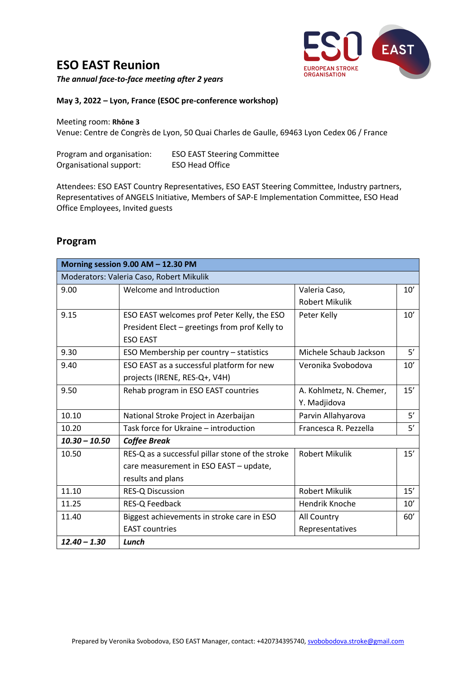## **ESO EAST Reunion**



*The annual face-to-face meeting after 2 years*

**May 3, 2022 – Lyon, France (ESOC pre-conference workshop)**

Meeting room: **Rhône 3**

Venue: Centre de Congrès de Lyon, 50 Quai Charles de Gaulle, 69463 Lyon Cedex 06 / France

| Program and organisation: | <b>ESO EAST Steering Committee</b> |
|---------------------------|------------------------------------|
| Organisational support:   | <b>ESO Head Office</b>             |

Attendees: ESO EAST Country Representatives, ESO EAST Steering Committee, Industry partners, Representatives of ANGELS Initiative, Members of SAP-E Implementation Committee, ESO Head Office Employees, Invited guests

## **Program**

| Morning session 9.00 AM - 12.30 PM |                                                  |                         |     |
|------------------------------------|--------------------------------------------------|-------------------------|-----|
|                                    | Moderators: Valeria Caso, Robert Mikulik         |                         |     |
| 9.00                               | Welcome and Introduction                         | Valeria Caso,           | 10' |
|                                    |                                                  | <b>Robert Mikulik</b>   |     |
| 9.15                               | ESO EAST welcomes prof Peter Kelly, the ESO      | Peter Kelly             | 10' |
|                                    | President Elect - greetings from prof Kelly to   |                         |     |
|                                    | <b>ESO EAST</b>                                  |                         |     |
| 9.30                               | ESO Membership per country - statistics          | Michele Schaub Jackson  | 5'  |
| 9.40                               | ESO EAST as a successful platform for new        | Veronika Svobodova      | 10' |
|                                    | projects (IRENE, RES-Q+, V4H)                    |                         |     |
| 9.50                               | Rehab program in ESO EAST countries              | A. Kohlmetz, N. Chemer, | 15' |
|                                    |                                                  | Y. Madjidova            |     |
| 10.10                              | National Stroke Project in Azerbaijan            | Parvin Allahyarova      | 5'  |
| 10.20                              | Task force for Ukraine – introduction            | Francesca R. Pezzella   | 5'  |
| $10.30 - 10.50$                    | <b>Coffee Break</b>                              |                         |     |
| 10.50                              | RES-Q as a successful pillar stone of the stroke | <b>Robert Mikulik</b>   | 15' |
|                                    | care measurement in ESO EAST - update,           |                         |     |
|                                    | results and plans                                |                         |     |
| 11.10                              | <b>RES-Q Discussion</b>                          | <b>Robert Mikulik</b>   | 15' |
| 11.25                              | RES-Q Feedback                                   | Hendrik Knoche          | 10' |
| 11.40                              | Biggest achievements in stroke care in ESO       | All Country             | 60' |
|                                    | <b>EAST</b> countries                            | Representatives         |     |
| $12.40 - 1.30$                     | Lunch                                            |                         |     |